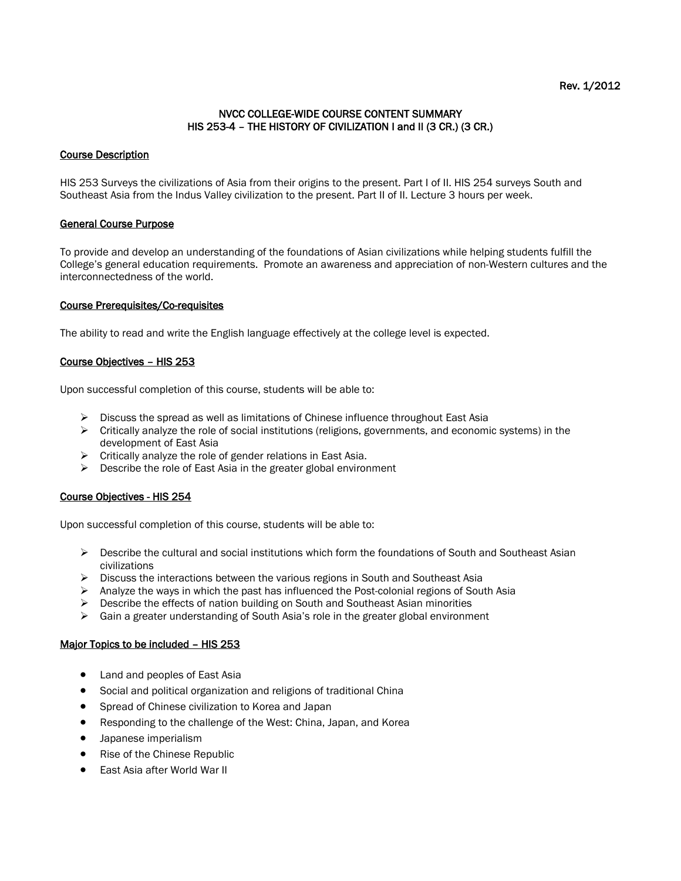## Rev. 1/2012

## NVCC COLLEGE-WIDE COURSE CONTENT SUMMARY HIS 253-4 – THE HISTORY OF CIVILIZATION I and II (3 CR.) (3 CR.)

## Course Description

HIS 253 Surveys the civilizations of Asia from their origins to the present. Part I of II. HIS 254 surveys South and Southeast Asia from the Indus Valley civilization to the present. Part II of II. Lecture 3 hours per week.

## General Course Purpose

To provide and develop an understanding of the foundations of Asian civilizations while helping students fulfill the College's general education requirements. Promote an awareness and appreciation of non-Western cultures and the interconnectedness of the world.

## Course Prerequisites/Co-requisites

The ability to read and write the English language effectively at the college level is expected.

## Course Objectives – HIS 253

Upon successful completion of this course, students will be able to:

- $\triangleright$  Discuss the spread as well as limitations of Chinese influence throughout East Asia
- $\triangleright$  Critically analyze the role of social institutions (religions, governments, and economic systems) in the development of East Asia
- $\triangleright$  Critically analyze the role of gender relations in East Asia.
- $\triangleright$  Describe the role of East Asia in the greater global environment

#### Course Objectives - HIS 254

Upon successful completion of this course, students will be able to:

- $\triangleright$  Describe the cultural and social institutions which form the foundations of South and Southeast Asian civilizations
- $\triangleright$  Discuss the interactions between the various regions in South and Southeast Asia
- $\triangleright$  Analyze the ways in which the past has influenced the Post-colonial regions of South Asia
- $\triangleright$  Describe the effects of nation building on South and Southeast Asian minorities
- $\triangleright$  Gain a greater understanding of South Asia's role in the greater global environment

#### Major Topics to be included – HIS 253

- Land and peoples of East Asia
- Social and political organization and religions of traditional China
- Spread of Chinese civilization to Korea and Japan
- Responding to the challenge of the West: China, Japan, and Korea
- Japanese imperialism
- Rise of the Chinese Republic
- East Asia after World War II